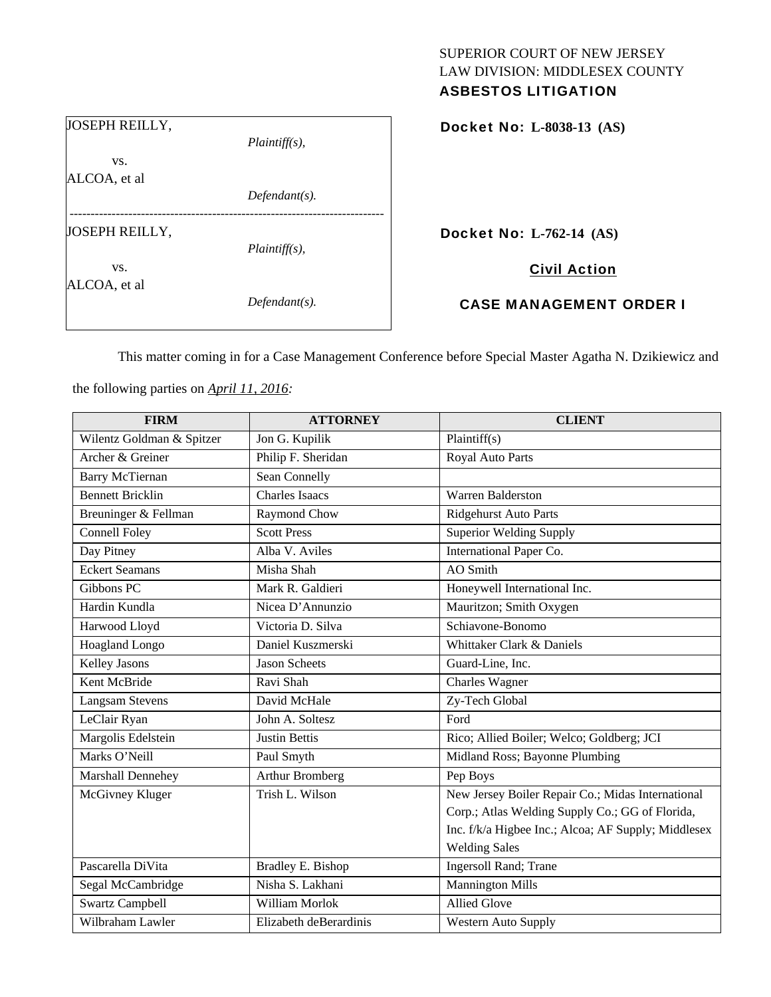# SUPERIOR COURT OF NEW JERSEY LAW DIVISION: MIDDLESEX COUNTY

| <b>ASBESTOS LITIGATION</b> |  |
|----------------------------|--|
|----------------------------|--|

| $Plaintiff(s)$ , |
|------------------|
|                  |
| $Defendant(s)$ . |
|                  |
| $Plaintiff(s)$ , |
| $Defendant(s)$ . |
|                  |

Docket No: **L-8038-13 (AS)** 

Docket No: **L-762-14 (AS)** 

Civil Action

CASE MANAGEMENT ORDER I

This matter coming in for a Case Management Conference before Special Master Agatha N. Dzikiewicz and

the following parties on *April 11, 2016:* 

| <b>FIRM</b>               | <b>ATTORNEY</b>        | <b>CLIENT</b>                                       |
|---------------------------|------------------------|-----------------------------------------------------|
| Wilentz Goldman & Spitzer | Jon G. Kupilik         | Plaintiff(s)                                        |
| Archer & Greiner          | Philip F. Sheridan     | Royal Auto Parts                                    |
| <b>Barry McTiernan</b>    | Sean Connelly          |                                                     |
| <b>Bennett Bricklin</b>   | <b>Charles Isaacs</b>  | Warren Balderston                                   |
| Breuninger & Fellman      | Raymond Chow           | <b>Ridgehurst Auto Parts</b>                        |
| <b>Connell Foley</b>      | <b>Scott Press</b>     | Superior Welding Supply                             |
| Day Pitney                | Alba V. Aviles         | International Paper Co.                             |
| <b>Eckert Seamans</b>     | Misha Shah             | <b>AO</b> Smith                                     |
| Gibbons PC                | Mark R. Galdieri       | Honeywell International Inc.                        |
| Hardin Kundla             | Nicea D'Annunzio       | Mauritzon; Smith Oxygen                             |
| Harwood Lloyd             | Victoria D. Silva      | Schiavone-Bonomo                                    |
| Hoagland Longo            | Daniel Kuszmerski      | Whittaker Clark & Daniels                           |
| <b>Kelley Jasons</b>      | <b>Jason Scheets</b>   | Guard-Line, Inc.                                    |
| Kent McBride              | Ravi Shah              | Charles Wagner                                      |
| <b>Langsam Stevens</b>    | David McHale           | Zy-Tech Global                                      |
| LeClair Ryan              | John A. Soltesz        | Ford                                                |
| Margolis Edelstein        | <b>Justin Bettis</b>   | Rico; Allied Boiler; Welco; Goldberg; JCI           |
| Marks O'Neill             | Paul Smyth             | Midland Ross; Bayonne Plumbing                      |
| Marshall Dennehey         | <b>Arthur Bromberg</b> | Pep Boys                                            |
| McGivney Kluger           | Trish L. Wilson        | New Jersey Boiler Repair Co.; Midas International   |
|                           |                        | Corp.; Atlas Welding Supply Co.; GG of Florida,     |
|                           |                        | Inc. f/k/a Higbee Inc.; Alcoa; AF Supply; Middlesex |
|                           |                        | <b>Welding Sales</b>                                |
| Pascarella DiVita         | Bradley E. Bishop      | Ingersoll Rand; Trane                               |
| Segal McCambridge         | Nisha S. Lakhani       | <b>Mannington Mills</b>                             |
| <b>Swartz Campbell</b>    | William Morlok         | <b>Allied Glove</b>                                 |
| Wilbraham Lawler          | Elizabeth deBerardinis | <b>Western Auto Supply</b>                          |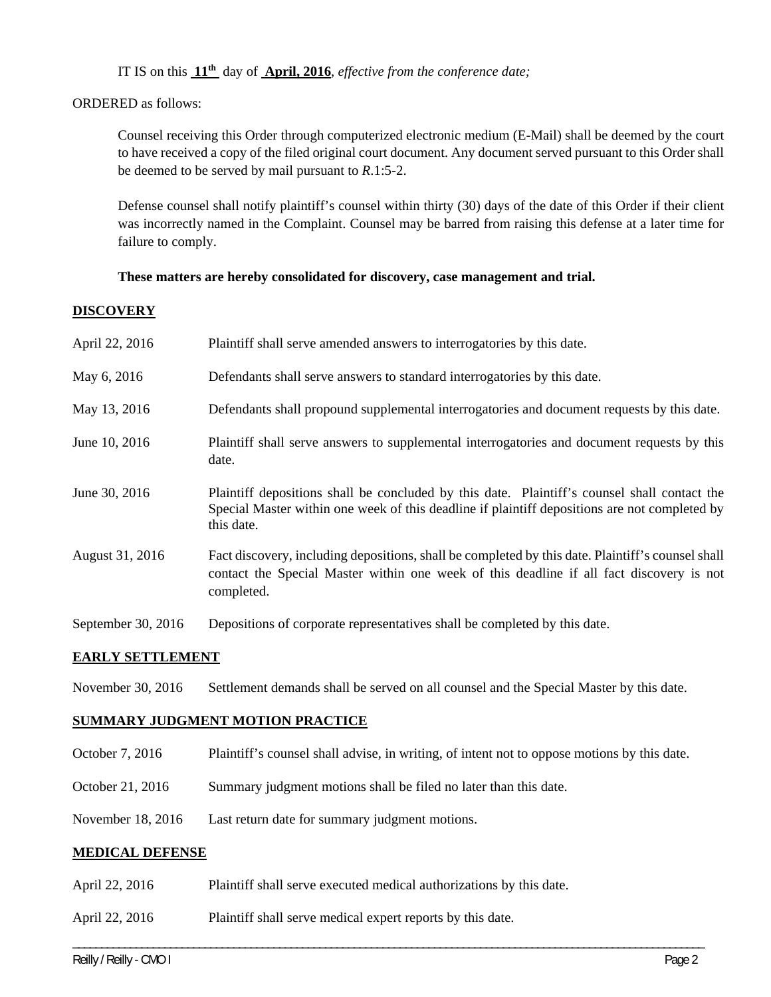IT IS on this **11th** day of **April, 2016**, *effective from the conference date;*

ORDERED as follows:

Counsel receiving this Order through computerized electronic medium (E-Mail) shall be deemed by the court to have received a copy of the filed original court document. Any document served pursuant to this Order shall be deemed to be served by mail pursuant to *R*.1:5-2.

Defense counsel shall notify plaintiff's counsel within thirty (30) days of the date of this Order if their client was incorrectly named in the Complaint. Counsel may be barred from raising this defense at a later time for failure to comply.

# **These matters are hereby consolidated for discovery, case management and trial.**

# **DISCOVERY**

| April 22, 2016     | Plaintiff shall serve amended answers to interrogatories by this date.                                                                                                                                      |
|--------------------|-------------------------------------------------------------------------------------------------------------------------------------------------------------------------------------------------------------|
| May 6, 2016        | Defendants shall serve answers to standard interrogatories by this date.                                                                                                                                    |
| May 13, 2016       | Defendants shall propound supplemental interrogatories and document requests by this date.                                                                                                                  |
| June 10, 2016      | Plaintiff shall serve answers to supplemental interrogatories and document requests by this<br>date.                                                                                                        |
| June 30, 2016      | Plaintiff depositions shall be concluded by this date. Plaintiff's counsel shall contact the<br>Special Master within one week of this deadline if plaintiff depositions are not completed by<br>this date. |
| August 31, 2016    | Fact discovery, including depositions, shall be completed by this date. Plaintiff's counsel shall<br>contact the Special Master within one week of this deadline if all fact discovery is not<br>completed. |
| September 30, 2016 | Depositions of corporate representatives shall be completed by this date.                                                                                                                                   |

## **EARLY SETTLEMENT**

November 30, 2016 Settlement demands shall be served on all counsel and the Special Master by this date.

# **SUMMARY JUDGMENT MOTION PRACTICE**

October 7, 2016 Plaintiff's counsel shall advise, in writing, of intent not to oppose motions by this date.

\_\_\_\_\_\_\_\_\_\_\_\_\_\_\_\_\_\_\_\_\_\_\_\_\_\_\_\_\_\_\_\_\_\_\_\_\_\_\_\_\_\_\_\_\_\_\_\_\_\_\_\_\_\_\_\_\_\_\_\_\_\_\_\_\_\_\_\_\_\_\_\_\_\_\_\_\_\_\_\_\_\_\_\_\_\_\_\_\_\_\_\_\_\_\_\_\_\_\_\_\_\_\_\_\_\_\_\_\_\_

- October 21, 2016 Summary judgment motions shall be filed no later than this date.
- November 18, 2016 Last return date for summary judgment motions.

## **MEDICAL DEFENSE**

- April 22, 2016 Plaintiff shall serve executed medical authorizations by this date.
- April 22, 2016 Plaintiff shall serve medical expert reports by this date.